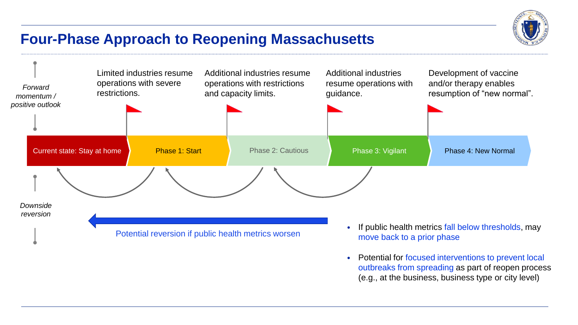

## **Four-Phase Approach to Reopening Massachusetts**



• Potential for focused interventions to prevent local outbreaks from spreading as part of reopen process (e.g., at the business, business type or city level)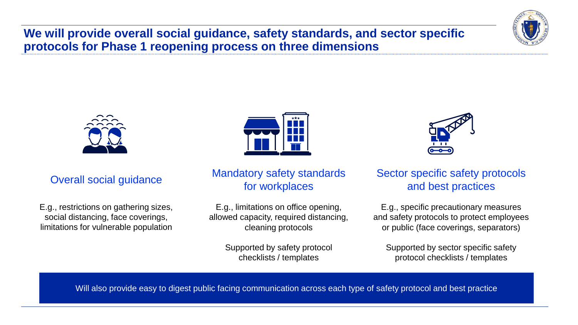**We will provide overall social guidance, safety standards, and sector specific protocols for Phase 1 reopening process on three dimensions**





### Overall social guidance

E.g., restrictions on gathering sizes, social distancing, face coverings, limitations for vulnerable population



#### Mandatory safety standards for workplaces

E.g., limitations on office opening, allowed capacity, required distancing, cleaning protocols

> Supported by safety protocol checklists / templates



#### Sector specific safety protocols and best practices

E.g., specific precautionary measures and safety protocols to protect employees or public (face coverings, separators)

Supported by sector specific safety protocol checklists / templates

Will also provide easy to digest public facing communication across each type of safety protocol and best practice